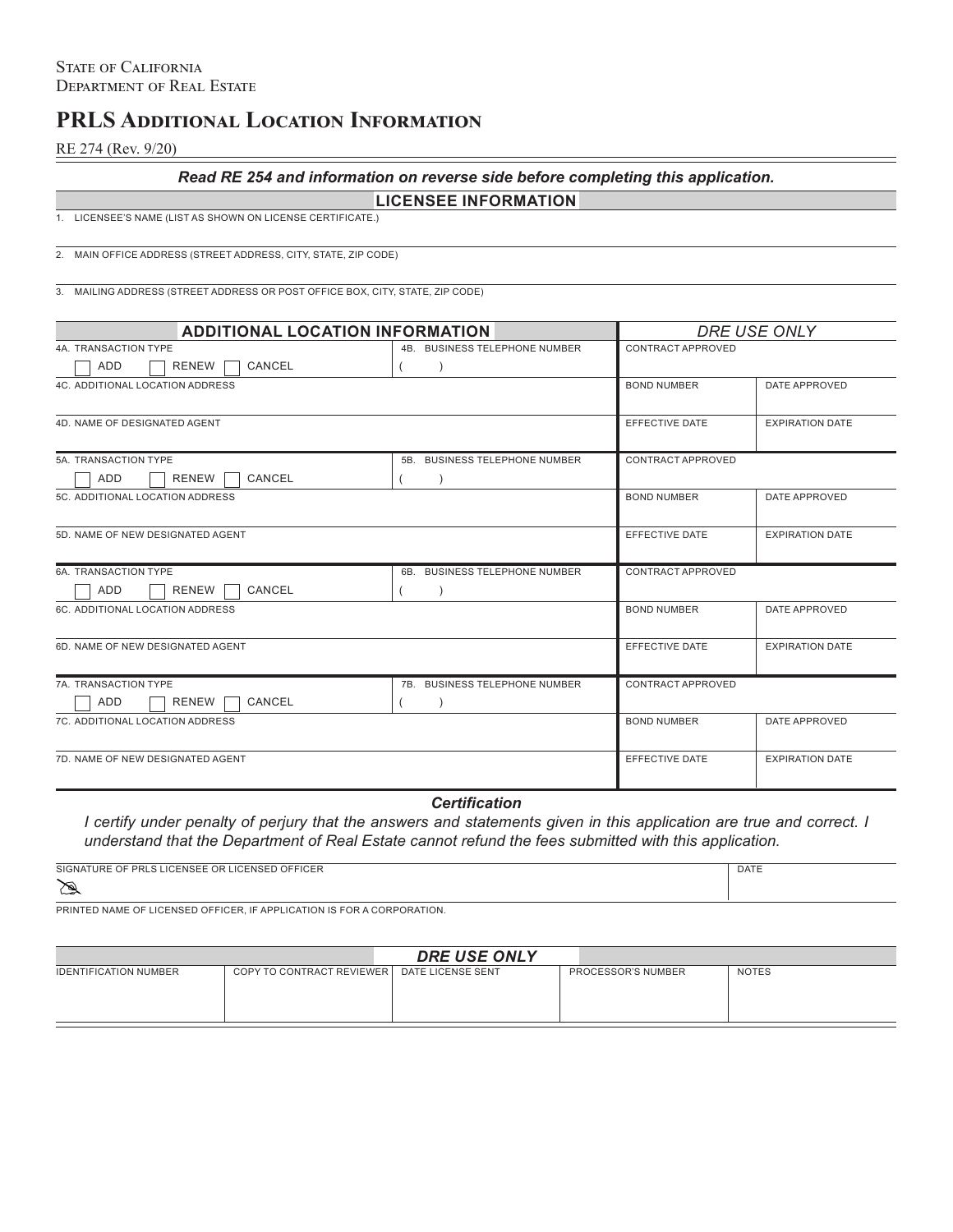# **PRLS Additional Location Information**

RE 274 (Rev. 9/20)

### *Read RE 254 and information on reverse side before completing this application.*

# **LICENSEE INFORMATION**

1. LICENSEE'S NAME (LIST AS SHOWN ON LICENSE CERTIFICATE.)

2. MAIN OFFICE ADDRESS (STREET ADDRESS, CITY, STATE, ZIP CODE)

3. MAILING ADDRESS (STREET ADDRESS OR POST OFFICE BOX, CITY, STATE, ZIP CODE)

| <b>ADDITIONAL LOCATION INFORMATION</b> |                               | DRE USE ONLY       |                        |
|----------------------------------------|-------------------------------|--------------------|------------------------|
| 4A. TRANSACTION TYPE                   | 4B. BUSINESS TELEPHONE NUMBER | CONTRACT APPROVED  |                        |
| ADD<br>CANCEL<br>RENEW                 |                               |                    |                        |
| <b>4C. ADDITIONAL LOCATION ADDRESS</b> |                               | <b>BOND NUMBER</b> | DATE APPROVED          |
|                                        |                               |                    |                        |
| 4D. NAME OF DESIGNATED AGENT           |                               | EFFECTIVE DATE     | <b>EXPIRATION DATE</b> |
|                                        |                               |                    |                        |
| 5A. TRANSACTION TYPE                   | 5B. BUSINESS TELEPHONE NUMBER | CONTRACT APPROVED  |                        |
| RENEW<br>ADD<br>CANCEL                 |                               |                    |                        |
| 5C. ADDITIONAL LOCATION ADDRESS        |                               | <b>BOND NUMBER</b> | DATE APPROVED          |
|                                        |                               |                    |                        |
| 5D. NAME OF NEW DESIGNATED AGENT       |                               | EFFECTIVE DATE     | <b>EXPIRATION DATE</b> |
|                                        |                               |                    |                        |
| 6A. TRANSACTION TYPE                   | 6B. BUSINESS TELEPHONE NUMBER | CONTRACT APPROVED  |                        |
| ADD<br>RENEW<br>CANCEL                 |                               |                    |                        |
| 6C. ADDITIONAL LOCATION ADDRESS        |                               | <b>BOND NUMBER</b> | DATE APPROVED          |
|                                        |                               |                    |                        |
| 6D. NAME OF NEW DESIGNATED AGENT       |                               | EFFECTIVE DATE     | <b>EXPIRATION DATE</b> |
|                                        |                               |                    |                        |
| 7A. TRANSACTION TYPE                   | 7B. BUSINESS TELEPHONE NUMBER | CONTRACT APPROVED  |                        |
| ADD<br>RENEW<br>CANCEL                 |                               |                    |                        |
| 7C. ADDITIONAL LOCATION ADDRESS        |                               | <b>BOND NUMBER</b> | DATE APPROVED          |
|                                        |                               |                    |                        |
| 7D. NAME OF NEW DESIGNATED AGENT       |                               | EFFECTIVE DATE     | <b>EXPIRATION DATE</b> |
|                                        |                               |                    |                        |

*Certification*

*I certify under penalty of perjury that the answers and statements given in this application are true and correct. I understand that the Department of Real Estate cannot refund the fees submitted with this application.*

| LICENSED OFFICER<br>SIGNATURE OF PRL<br>U.S. LICENSEE OP 1 | <b>DATE</b> |
|------------------------------------------------------------|-------------|
| യ                                                          |             |

PRINTED NAME OF LICENSED OFFICER, IF APPLICATION IS FOR A CORPORATION.

| <b>DRE USE ONLY</b>          |                           |                   |                    |              |  |  |
|------------------------------|---------------------------|-------------------|--------------------|--------------|--|--|
| <b>IDENTIFICATION NUMBER</b> | COPY TO CONTRACT REVIEWER | DATE LICENSE SENT | PROCESSOR'S NUMBER | <b>NOTES</b> |  |  |
|                              |                           |                   |                    |              |  |  |